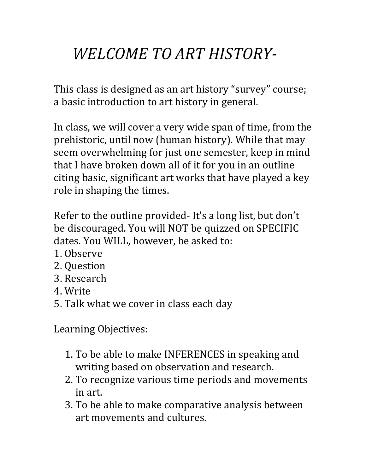## WELCOME TO ART HISTORY-

This class is designed as an art history "survey" course; a basic introduction to art history in general.

In class, we will cover a very wide span of time, from the prehistoric, until now (human history). While that may seem overwhelming for just one semester, keep in mind that I have broken down all of it for you in an outline citing basic, significant art works that have played a key role in shaping the times.

Refer to the outline provided-It's a long list, but don't be discouraged. You will NOT be quizzed on SPECIFIC dates. You WILL, however, be asked to:

- 1. Observe
- 2. Question
- 3. Research
- 4. Write
- 5. Talk what we cover in class each day

Learning Objectives:

- 1. To be able to make INFERENCES in speaking and writing based on observation and research.
- 2. To recognize various time periods and movements in art.
- 3. To be able to make comparative analysis between art movements and cultures.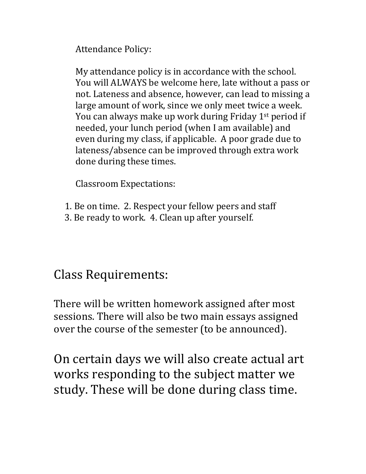Attendance Policy:

My attendance policy is in accordance with the school. You will ALWAYS be welcome here, late without a pass or not. Lateness and absence, however, can lead to missing a large amount of work, since we only meet twice a week. You can always make up work during Friday  $1<sup>st</sup>$  period if needed, your lunch period (when I am available) and even during my class, if applicable. A poor grade due to lateness/absence can be improved through extra work done during these times.

Classroom Expectations:

- 1. Be on time. 2. Respect your fellow peers and staff
- 3. Be ready to work. 4. Clean up after yourself.

## Class Requirements:

There will be written homework assigned after most sessions. There will also be two main essays assigned over the course of the semester (to be announced).

On certain days we will also create actual art works responding to the subject matter we study. These will be done during class time.